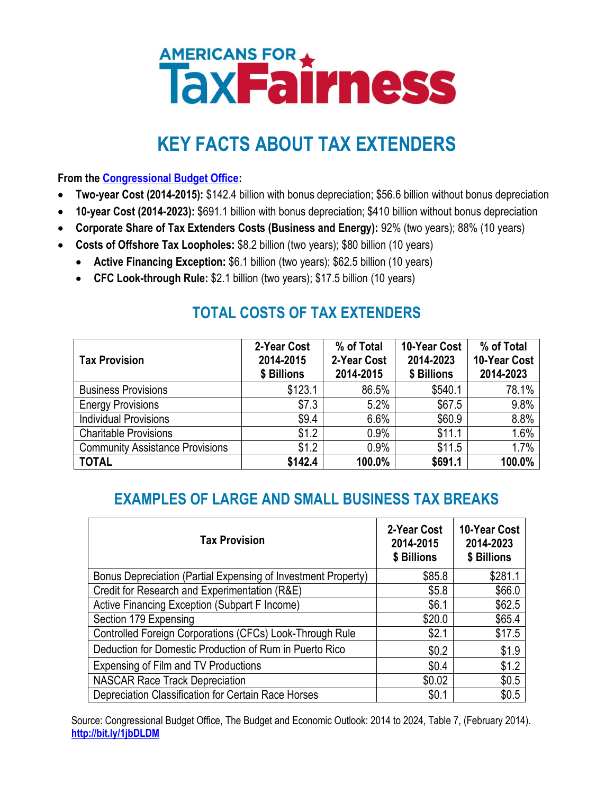# **AMERICANS FOR A THESS**

## **KEY FACTS ABOUT TAX EXTENDERS**

**From the [Congressional Budget Office:](http://bit.ly/1jbDLDM)**

- **Two-year Cost (2014-2015):** \$142.4 billion with bonus depreciation; \$56.6 billion without bonus depreciation
- **10-year Cost (2014-2023):** \$691.1 billion with bonus depreciation; \$410 billion without bonus depreciation
- **Corporate Share of Tax Extenders Costs (Business and Energy):** 92% (two years); 88% (10 years)
- **Costs of Offshore Tax Loopholes:** \$8.2 billion (two years); \$80 billion (10 years)
	- **Active Financing Exception:** \$6.1 billion (two years); \$62.5 billion (10 years)
	- **CFC Look-through Rule:** \$2.1 billion (two years); \$17.5 billion (10 years)

### **TOTAL COSTS OF TAX EXTENDERS**

| <b>Tax Provision</b>                   | 2-Year Cost<br>2014-2015<br>\$ Billions | % of Total<br>2-Year Cost<br>2014-2015 | 10-Year Cost<br>2014-2023<br>\$ Billions | % of Total<br>10-Year Cost<br>2014-2023 |
|----------------------------------------|-----------------------------------------|----------------------------------------|------------------------------------------|-----------------------------------------|
| <b>Business Provisions</b>             | \$123.1                                 | 86.5%                                  | \$540.1                                  | 78.1%                                   |
| <b>Energy Provisions</b>               | \$7.3                                   | 5.2%                                   | \$67.5                                   | 9.8%                                    |
| <b>Individual Provisions</b>           | \$9.4                                   | 6.6%                                   | \$60.9                                   | 8.8%                                    |
| <b>Charitable Provisions</b>           | \$1.2                                   | 0.9%                                   | \$11.1                                   | 1.6%                                    |
| <b>Community Assistance Provisions</b> | \$1.2                                   | 0.9%                                   | \$11.5                                   | 1.7%                                    |
| <b>TOTAL</b>                           | \$142.4                                 | 100.0%                                 | \$691.1                                  | 100.0%                                  |

#### **EXAMPLES OF LARGE AND SMALL BUSINESS TAX BREAKS**

| <b>Tax Provision</b>                                          | 2-Year Cost<br>2014-2015<br>\$ Billions | 10-Year Cost<br>2014-2023<br>\$ Billions |
|---------------------------------------------------------------|-----------------------------------------|------------------------------------------|
| Bonus Depreciation (Partial Expensing of Investment Property) | \$85.8                                  | \$281.1                                  |
| Credit for Research and Experimentation (R&E)                 | \$5.8                                   | \$66.0                                   |
| Active Financing Exception (Subpart F Income)                 | \$6.1                                   | \$62.5                                   |
| Section 179 Expensing                                         | \$20.0                                  | \$65.4                                   |
| Controlled Foreign Corporations (CFCs) Look-Through Rule      | \$2.1                                   | \$17.5                                   |
| Deduction for Domestic Production of Rum in Puerto Rico       | \$0.2                                   | \$1.9                                    |
| Expensing of Film and TV Productions                          | \$0.4                                   | \$1.2                                    |
| <b>NASCAR Race Track Depreciation</b>                         | \$0.02                                  | \$0.5                                    |
| Depreciation Classification for Certain Race Horses           | \$0.1                                   | \$0.5                                    |

Source: Congressional Budget Office, The Budget and Economic Outlook: 2014 to 2024, Table 7, (February 2014). **<http://bit.ly/1jbDLDM>**